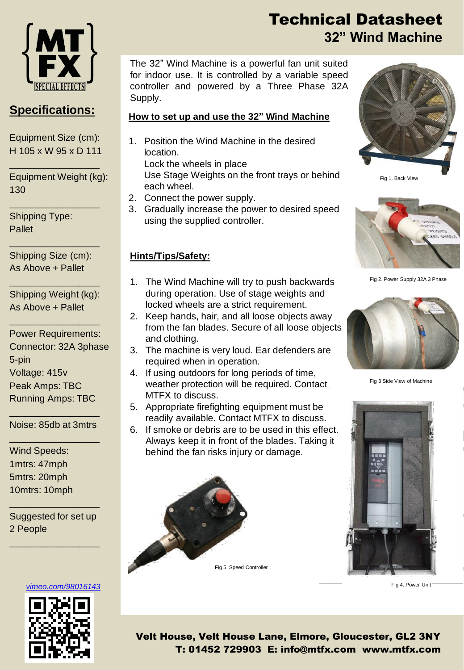

### **Specifications:**

Equipment Size (cm): H 105 x W 95 x D 111

\_\_\_\_\_\_\_\_\_\_\_\_\_\_\_\_\_

\_\_\_\_\_\_\_\_\_\_\_\_\_\_\_\_\_

Equipment Weight (kg): 130

Shipping Type: Pallet

Shipping Size (cm): As Above + Pallet

\_\_\_\_\_\_\_\_\_\_\_\_\_\_\_\_\_

Shipping Weight (kg): As Above + Pallet

\_\_\_\_\_\_\_\_\_\_\_\_\_\_\_\_\_

\_\_\_\_\_\_\_\_\_\_\_\_\_\_\_\_\_

Power Requirements: Connector: 32A 3phase 5-pin Voltage: 415v Peak Amps: TBC Running Amps: TBC

\_\_\_\_\_\_\_\_\_\_\_\_\_\_\_\_\_ Noise: 85db at 3mtrs \_\_\_\_\_\_\_\_\_\_\_\_\_\_\_\_\_

Wind Speeds: 1mtrs: 47mph 5mtrs: 20mph 10mtrs: 10mph

Suggested for set up 2 People

\_\_\_\_\_\_\_\_\_\_\_\_\_\_\_\_\_

\_\_\_\_\_\_\_\_\_\_\_\_\_\_\_\_\_

#### *[vimeo.com/98016143](https://vimeo.com/98016143)*



Technical Datasheet **32" Wind Machine**

The 32" Wind Machine is a powerful fan unit suited for indoor use. It is controlled by a variable speed controller and powered by a Three Phase 32A Supply.

#### **How to set up and use the 32" Wind Machine**

1. Position the Wind Machine in the desired location.

Lock the wheels in place Use Stage Weights on the front trays or behind each wheel.

- 2. Connect the power supply.
- 3. Gradually increase the power to desired speed using the supplied controller.

### **Hints/Tips/Safety:**

- 1. The Wind Machine will try to push backwards during operation. Use of stage weights and locked wheels are a strict requirement.
- 2. Keep hands, hair, and all loose objects away from the fan blades. Secure of all loose objects and clothing.
- 3. The machine is very loud. Ear defenders are required when in operation.
- 4. If using outdoors for long periods of time, weather protection will be required. Contact MTFX to discuss.
- 5. Appropriate firefighting equipment must be readily available. Contact MTFX to discuss.
- 6. If smoke or debris are to be used in this effect. Always keep it in front of the blades. Taking it behind the fan risks injury or damage.





Fig 1. Back View



Fig 2. Power Supply 32A 3 Phase



Fig 3 Side View of Machine



Fig 4. Power Unit

Velt House, Velt House Lane, Elmore, Gloucester, GL2 3NY T: 01452 729903 E: info@mtfx.com www.mtfx.com